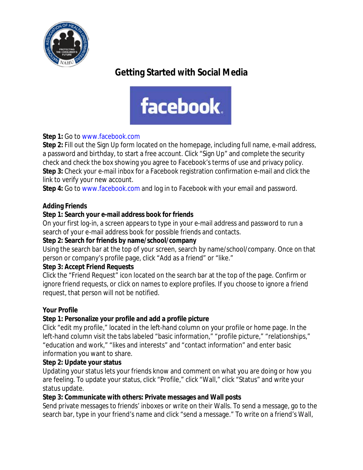

# **Getting Started with Social Media**



# **Step 1:** Go to www.facebook.com

**Step 2:** Fill out the Sign Up form located on the homepage, including full name, e-mail address, a password and birthday, to start a free account. Click "Sign Up" and complete the security check and check the box showing you agree to Facebook's terms of use and privacy policy. **Step 3:** Check your e-mail inbox for a Facebook registration confirmation e-mail and click the link to verify your new account.

**Step 4:** Go to www.facebook.com and log in to Facebook with your email and password.

#### **Adding Friends**

#### **Step 1: Search your e-mail address book for friends**

On your first log-in, a screen appears to type in your e-mail address and password to run a search of your e-mail address book for possible friends and contacts.

#### **Step 2: Search for friends by name/school/company**

Using the search bar at the top of your screen, search by name/school/company. Once on that person or company's profile page, click "Add as a friend" or "like."

# **Step 3: Accept Friend Requests**

Click the "Friend Request" icon located on the search bar at the top of the page. Confirm or ignore friend requests, or click on names to explore profiles. If you choose to ignore a friend request, that person will not be notified.

# **Your Profile**

#### **Step 1: Personalize your profile and add a profile picture**

Click "edit my profile," located in the left-hand column on your profile or home page. In the left-hand column visit the tabs labeled "basic information," "profile picture," "relationships," "education and work," "likes and interests" and "contact information" and enter basic information you want to share.

#### **Step 2: Update your status**

Updating your status lets your friends know and comment on what you are doing or how you are feeling. To update your status, click "Profile," click "Wall," click "Status" and write your status update.

#### **Step 3: Communicate with others: Private messages and Wall posts**

Send private messages to friends' inboxes or write on their Walls. To send a message, go to the search bar, type in your friend's name and click "send a message." To write on a friend's Wall,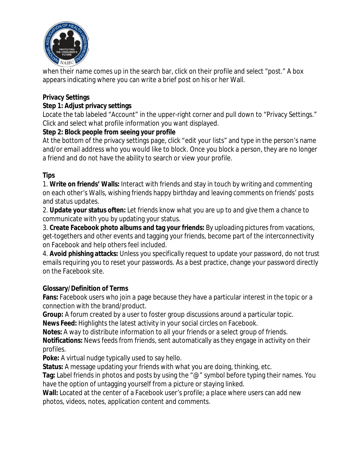

when their name comes up in the search bar, click on their profile and select "post." A box appears indicating where you can write a brief post on his or her Wall.

# **Privacy Settings**

#### **Step 1: Adjust privacy settings**

Locate the tab labeled "Account" in the upper-right corner and pull down to "Privacy Settings." Click and select what profile information you want displayed.

#### **Step 2: Block people from seeing your profile**

At the bottom of the privacy settings page, click "edit your lists" and type in the person's name and/or email address who you would like to block. Once you block a person, they are no longer a friend and do not have the ability to search or view your profile.

# **Tips**

1. **Write on friends' Walls:** Interact with friends and stay in touch by writing and commenting on each other's Walls, wishing friends happy birthday and leaving comments on friends' posts and status updates.

2. **Update your status often:** Let friends know what you are up to and give them a chance to communicate with you by updating your status.

3. **Create Facebook photo albums and tag your friends:** By uploading pictures from vacations, get-togethers and other events and tagging your friends, become part of the interconnectivity on Facebook and help others feel included.

4. **Avoid phishing attacks:** Unless you specifically request to update your password, do not trust emails requiring you to reset your passwords. As a best practice, change your password directly on the Facebook site.

# **Glossary/Definition of Terms**

**Fans:** Facebook users who join a page because they have a particular interest in the topic or a connection with the brand/product.

**Group:** A forum created by a user to foster group discussions around a particular topic.

**News Feed:** Highlights the latest activity in your social circles on Facebook.

**Notes:** A way to distribute information to all your friends or a select group of friends.

**Notifications:** News feeds from friends, sent automatically as they engage in activity on their profiles.

**Poke:** A virtual nudge typically used to say hello.

**Status:** A message updating your friends with what you are doing, thinking, etc.

**Tag:** Label friends in photos and posts by using the "@" symbol before typing their names. You have the option of untagging yourself from a picture or staying linked.

**Wall:** Located at the center of a Facebook user's profile; a place where users can add new photos, videos, notes, application content and comments.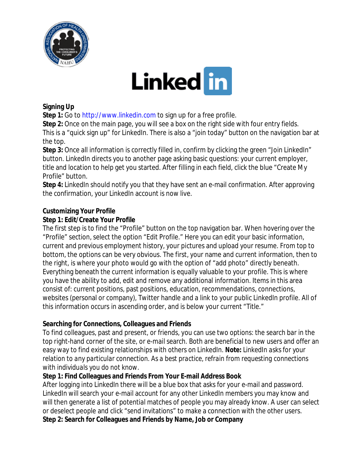

# **Linked in**

#### **Signing Up**

**Step 1:** Go to http://www.linkedin.com to sign up for a free profile.

**Step 2:** Once on the main page, you will see a box on the right side with four entry fields. This is a "quick sign up" for LinkedIn. There is also a "join today" button on the navigation bar at the top.

**Step 3:** Once all information is correctly filled in, confirm by clicking the green "Join LinkedIn" button. LinkedIn directs you to another page asking basic questions: your current employer, title and location to help get you started. After filling in each field, click the blue "Create My Profile" button.

**Step 4:** LinkedIn should notify you that they have sent an e-mail confirmation. After approving the confirmation, your LinkedIn account is now live.

# **Customizing Your Profile**

#### **Step 1: Edit/Create Your Profile**

The first step is to find the "Profile" button on the top navigation bar. When hovering over the "Profile" section, select the option "Edit Profile." Here you can edit your basic information, current and previous employment history, your pictures and upload your resume. From top to bottom, the options can be very obvious. The first, your name and current information, then to the right, is where your photo would go with the option of "add photo" directly beneath. Everything beneath the current information is equally valuable to your profile. This is where you have the ability to add, edit and remove any additional information. Items in this area consist of: current positions, past positions, education, recommendations, connections, websites (personal or company), Twitter handle and a link to your public LinkedIn profile. All of this information occurs in ascending order, and is below your current "Title."

# **Searching for Connections, Colleagues and Friends**

To find colleagues, past and present, or friends, you can use two options: the search bar in the top right-hand corner of the site, or e-mail search. Both are beneficial to new users and offer an easy way to find existing relationships with others on LinkedIn. *Note: LinkedIn asks for your relation to any particular connection. As a best practice, refrain from requesting connections with individuals you do not know.*

#### **Step 1: Find Colleagues and Friends From Your E-mail Address Book**

After logging into LinkedIn there will be a blue box that asks for your e-mail and password. LinkedIn will search your e-mail account for any other LinkedIn members you may know and will then generate a list of potential matches of people you may already know. A user can select or deselect people and click "send invitations" to make a connection with the other users. **Step 2: Search for Colleagues and Friends by Name, Job or Company**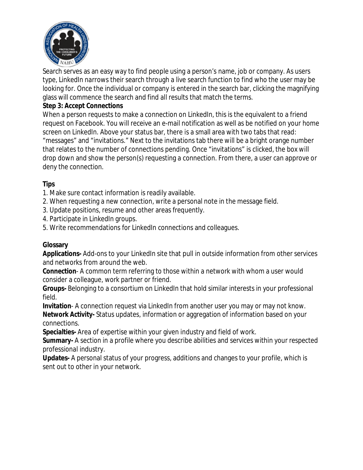

Search serves as an easy way to find people using a person's name, job or company. As users type, LinkedIn narrows their search through a live search function to find who the user may be looking for. Once the individual or company is entered in the search bar, clicking the magnifying glass will commence the search and find all results that match the terms.

#### **Step 3: Accept Connections**

When a person requests to make a connection on LinkedIn, this is the equivalent to a friend request on Facebook. You will receive an e-mail notification as well as be notified on your home screen on LinkedIn. Above your status bar, there is a small area with two tabs that read: "messages" and "invitations." Next to the invitations tab there will be a bright orange number that relates to the number of connections pending. Once "invitations" is clicked, the box will drop down and show the person(s) requesting a connection. From there, a user can approve or deny the connection.

#### **Tips**

- 1. Make sure contact information is readily available.
- 2. When requesting a new connection, write a personal note in the message field.
- 3. Update positions, resume and other areas frequently.
- 4. Participate in LinkedIn groups.
- 5. Write recommendations for LinkedIn connections and colleagues.

# **Glossary**

**Applications-** Add-ons to your LinkedIn site that pull in outside information from other services and networks from around the web.

**Connection**- A common term referring to those within a network with whom a user would consider a colleague, work partner or friend.

**Groups-** Belonging to a consortium on LinkedIn that hold similar interests in your professional field.

**Invitation**- A connection request via LinkedIn from another user you may or may not know. **Network Activity-** Status updates, information or aggregation of information based on your connections.

**Specialties-** Area of expertise within your given industry and field of work.

**Summary-** A section in a profile where you describe abilities and services within your respected professional industry.

**Updates-** A personal status of your progress, additions and changes to your profile, which is sent out to other in your network.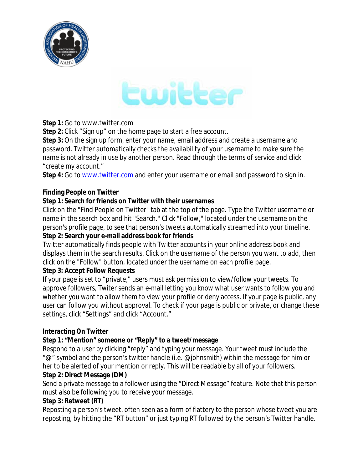



#### **Step 1:** Go to www.twitter.com

**Step 2:** Click "Sign up" on the home page to start a free account.

**Step 3:** On the sign up form, enter your name, email address and create a username and password. Twitter automatically checks the availability of your username to make sure the name is not already in use by another person. Read through the terms of service and click "create my account."

**Step 4:** Go to www.twitter.com and enter your username or email and password to sign in.

#### **Finding People on Twitter**

#### **Step 1: Search for friends on Twitter with their usernames**

Click on the "Find People on Twitter" tab at the top of the page. Type the Twitter username or name in the search box and hit "Search." Click "Follow," located under the username on the person's profile page, to see that person's tweets automatically streamed into your timeline. **Step 2: Search your e-mail address book for friends**

Twitter automatically finds people with Twitter accounts in your online address book and displays them in the search results. Click on the username of the person you want to add, then click on the "Follow" button, located under the username on each profile page.

#### **Step 3: Accept Follow Requests**

If your page is set to "private," users must ask permission to view/follow your tweets. To approve followers, Twiter sends an e-mail letting you know what user wants to follow you and whether you want to allow them to view your profile or deny access. If your page is public, any user can follow you without approval. To check if your page is public or private, or change these settings, click "Settings" and click "Account."

#### **Interacting On Twitter**

#### **Step 1: "Mention" someone or "Reply" to a tweet/message**

Respond to a user by clicking "reply" and typing your message. Your tweet must include the "@" symbol and the person's twitter handle (i.e. @johnsmith) within the message for him or her to be alerted of your mention or reply. This will be readable by all of your followers.

#### **Step 2: Direct Message (DM)**

Send a private message to a follower using the "Direct Message" feature. Note that this person must also be following you to receive your message.

#### **Step 3: Retweet (RT)**

Reposting a person's tweet, often seen as a form of flattery to the person whose tweet you are reposting, by hitting the "RT button" or just typing RT followed by the person's Twitter handle.